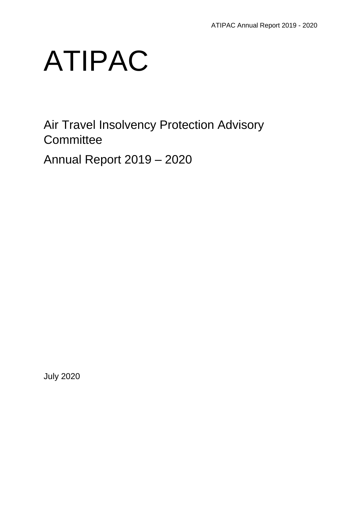

Air Travel Insolvency Protection Advisory **Committee** 

Annual Report 2019 – 2020

July 2020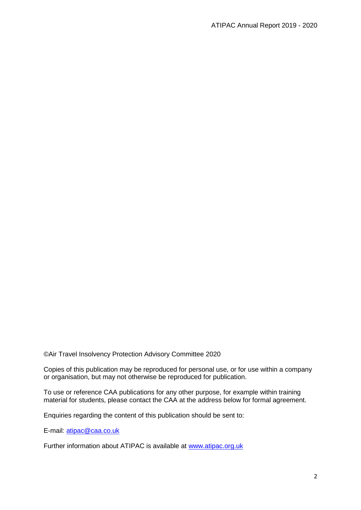©Air Travel Insolvency Protection Advisory Committee 2020

Copies of this publication may be reproduced for personal use, or for use within a company or organisation, but may not otherwise be reproduced for publication.

To use or reference CAA publications for any other purpose, for example within training material for students, please contact the CAA at the address below for formal agreement.

Enquiries regarding the content of this publication should be sent to:

E-mail: [atipac@caa.co.uk](mailto:atipac@caa.co.uk)

Further information about ATIPAC is available at [www.atipac.org.uk](http://www.atipac.org.uk/)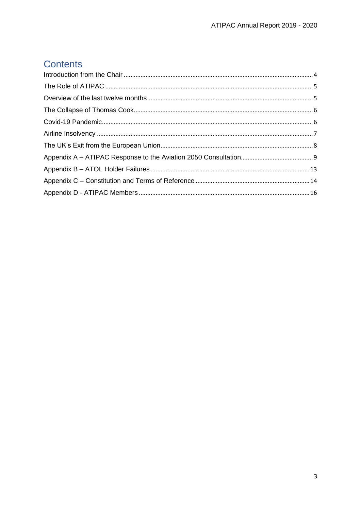# **Contents**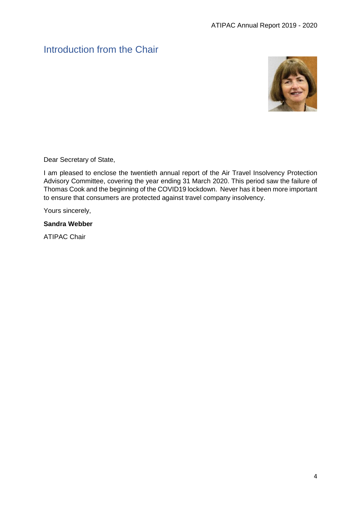# <span id="page-3-0"></span>Introduction from the Chair



Dear Secretary of State,

I am pleased to enclose the twentieth annual report of the Air Travel Insolvency Protection Advisory Committee, covering the year ending 31 March 2020. This period saw the failure of Thomas Cook and the beginning of the COVID19 lockdown. Never has it been more important to ensure that consumers are protected against travel company insolvency.

Yours sincerely,

#### **Sandra Webber**

ATIPAC Chair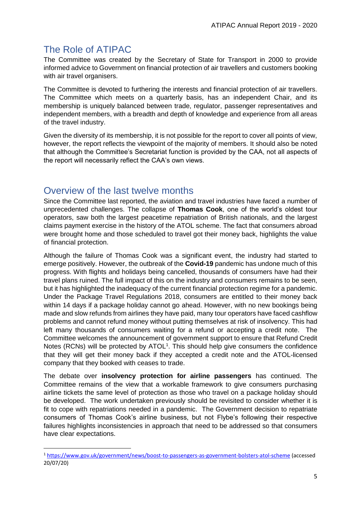# <span id="page-4-0"></span>The Role of ATIPAC

1

The Committee was created by the Secretary of State for Transport in 2000 to provide informed advice to Government on financial protection of air travellers and customers booking with air travel organisers.

The Committee is devoted to furthering the interests and financial protection of air travellers. The Committee which meets on a quarterly basis, has an independent Chair, and its membership is uniquely balanced between trade, regulator, passenger representatives and independent members, with a breadth and depth of knowledge and experience from all areas of the travel industry.

Given the diversity of its membership, it is not possible for the report to cover all points of view, however, the report reflects the viewpoint of the majority of members. It should also be noted that although the Committee's Secretariat function is provided by the CAA, not all aspects of the report will necessarily reflect the CAA's own views.

## <span id="page-4-1"></span>Overview of the last twelve months

Since the Committee last reported, the aviation and travel industries have faced a number of unprecedented challenges. The collapse of **Thomas Cook**, one of the world's oldest tour operators, saw both the largest peacetime repatriation of British nationals, and the largest claims payment exercise in the history of the ATOL scheme. The fact that consumers abroad were brought home and those scheduled to travel got their money back, highlights the value of financial protection.

Although the failure of Thomas Cook was a significant event, the industry had started to emerge positively. However, the outbreak of the **Covid-19** pandemic has undone much of this progress. With flights and holidays being cancelled, thousands of consumers have had their travel plans ruined. The full impact of this on the industry and consumers remains to be seen, but it has highlighted the inadequacy of the current financial protection regime for a pandemic. Under the Package Travel Regulations 2018, consumers are entitled to their money back within 14 days if a package holiday cannot go ahead. However, with no new bookings being made and slow refunds from airlines they have paid, many tour operators have faced cashflow problems and cannot refund money without putting themselves at risk of insolvency. This had left many thousands of consumers waiting for a refund or accepting a credit note. The Committee welcomes the announcement of government support to ensure that Refund Credit Notes (RCNs) will be protected by  $ATOL<sup>1</sup>$ . This should help give consumers the confidence that they will get their money back if they accepted a credit note and the ATOL-licensed company that they booked with ceases to trade.

The debate over **insolvency protection for airline passengers** has continued. The Committee remains of the view that a workable framework to give consumers purchasing airline tickets the same level of protection as those who travel on a package holiday should be developed. The work undertaken previously should be revisited to consider whether it is fit to cope with repatriations needed in a pandemic. The Government decision to repatriate consumers of Thomas Cook's airline business, but not Flybe's following their respective failures highlights inconsistencies in approach that need to be addressed so that consumers have clear expectations.

<sup>1</sup> <https://www.gov.uk/government/news/boost-to-passengers-as-government-bolsters-atol-scheme> (accessed 20/07/20)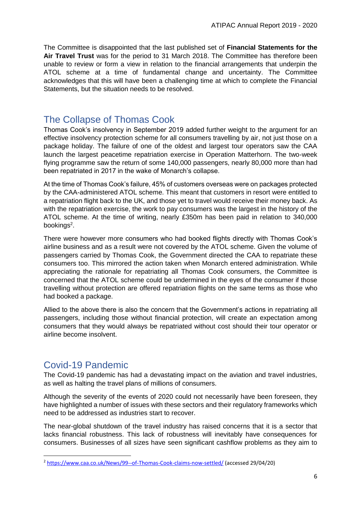The Committee is disappointed that the last published set of **Financial Statements for the Air Travel Trust** was for the period to 31 March 2018. The Committee has therefore been unable to review or form a view in relation to the financial arrangements that underpin the ATOL scheme at a time of fundamental change and uncertainty. The Committee acknowledges that this will have been a challenging time at which to complete the Financial Statements, but the situation needs to be resolved.

# <span id="page-5-0"></span>The Collapse of Thomas Cook

Thomas Cook's insolvency in September 2019 added further weight to the argument for an effective insolvency protection scheme for all consumers travelling by air, not just those on a package holiday. The failure of one of the oldest and largest tour operators saw the CAA launch the largest peacetime repatriation exercise in Operation Matterhorn. The two-week flying programme saw the return of some 140,000 passengers, nearly 80,000 more than had been repatriated in 2017 in the wake of Monarch's collapse.

At the time of Thomas Cook's failure, 45% of customers overseas were on packages protected by the CAA-administered ATOL scheme. This meant that customers in resort were entitled to a repatriation flight back to the UK, and those yet to travel would receive their money back. As with the repatriation exercise, the work to pay consumers was the largest in the history of the ATOL scheme. At the time of writing, nearly £350m has been paid in relation to 340,000 bookings<sup>2</sup>.

There were however more consumers who had booked flights directly with Thomas Cook's airline business and as a result were not covered by the ATOL scheme. Given the volume of passengers carried by Thomas Cook, the Government directed the CAA to repatriate these consumers too. This mirrored the action taken when Monarch entered administration. While appreciating the rationale for repatriating all Thomas Cook consumers, the Committee is concerned that the ATOL scheme could be undermined in the eyes of the consumer if those travelling without protection are offered repatriation flights on the same terms as those who had booked a package.

Allied to the above there is also the concern that the Government's actions in repatriating all passengers, including those without financial protection, will create an expectation among consumers that they would always be repatriated without cost should their tour operator or airline become insolvent.

# <span id="page-5-1"></span>Covid-19 Pandemic

**.** 

The Covid-19 pandemic has had a devastating impact on the aviation and travel industries, as well as halting the travel plans of millions of consumers.

Although the severity of the events of 2020 could not necessarily have been foreseen, they have highlighted a number of issues with these sectors and their regulatory frameworks which need to be addressed as industries start to recover.

The near-global shutdown of the travel industry has raised concerns that it is a sector that lacks financial robustness. This lack of robustness will inevitably have consequences for consumers. Businesses of all sizes have seen significant cashflow problems as they aim to

<sup>2</sup> <https://www.caa.co.uk/News/99--of-Thomas-Cook-claims-now-settled/> (accessed 29/04/20)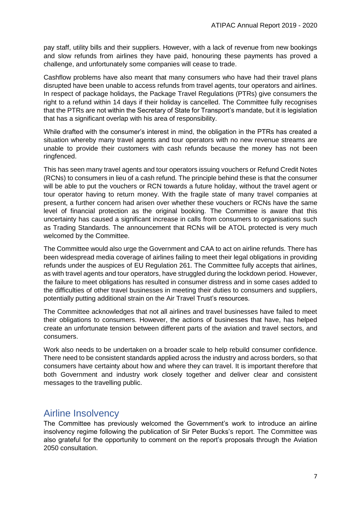pay staff, utility bills and their suppliers. However, with a lack of revenue from new bookings and slow refunds from airlines they have paid, honouring these payments has proved a challenge, and unfortunately some companies will cease to trade.

Cashflow problems have also meant that many consumers who have had their travel plans disrupted have been unable to access refunds from travel agents, tour operators and airlines. In respect of package holidays, the Package Travel Regulations (PTRs) give consumers the right to a refund within 14 days if their holiday is cancelled. The Committee fully recognises that the PTRs are not within the Secretary of State for Transport's mandate, but it is legislation that has a significant overlap with his area of responsibility.

While drafted with the consumer's interest in mind, the obligation in the PTRs has created a situation whereby many travel agents and tour operators with no new revenue streams are unable to provide their customers with cash refunds because the money has not been ringfenced.

This has seen many travel agents and tour operators issuing vouchers or Refund Credit Notes (RCNs) to consumers in lieu of a cash refund. The principle behind these is that the consumer will be able to put the vouchers or RCN towards a future holiday, without the travel agent or tour operator having to return money. With the fragile state of many travel companies at present, a further concern had arisen over whether these vouchers or RCNs have the same level of financial protection as the original booking. The Committee is aware that this uncertainty has caused a significant increase in calls from consumers to organisations such as Trading Standards. The announcement that RCNs will be ATOL protected is very much welcomed by the Committee.

The Committee would also urge the Government and CAA to act on airline refunds. There has been widespread media coverage of airlines failing to meet their legal obligations in providing refunds under the auspices of EU Regulation 261. The Committee fully accepts that airlines, as with travel agents and tour operators, have struggled during the lockdown period. However, the failure to meet obligations has resulted in consumer distress and in some cases added to the difficulties of other travel businesses in meeting their duties to consumers and suppliers, potentially putting additional strain on the Air Travel Trust's resources.

The Committee acknowledges that not all airlines and travel businesses have failed to meet their obligations to consumers. However, the actions of businesses that have, has helped create an unfortunate tension between different parts of the aviation and travel sectors, and consumers.

Work also needs to be undertaken on a broader scale to help rebuild consumer confidence. There need to be consistent standards applied across the industry and across borders, so that consumers have certainty about how and where they can travel. It is important therefore that both Government and industry work closely together and deliver clear and consistent messages to the travelling public.

## <span id="page-6-0"></span>Airline Insolvency

The Committee has previously welcomed the Government's work to introduce an airline insolvency regime following the publication of Sir Peter Bucks's report. The Committee was also grateful for the opportunity to comment on the report's proposals through the Aviation 2050 consultation.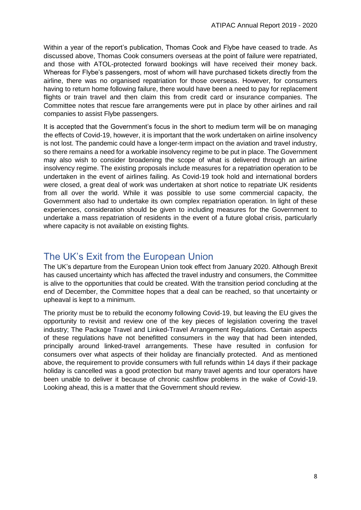Within a year of the report's publication, Thomas Cook and Flybe have ceased to trade. As discussed above, Thomas Cook consumers overseas at the point of failure were repatriated, and those with ATOL-protected forward bookings will have received their money back. Whereas for Flybe's passengers, most of whom will have purchased tickets directly from the airline, there was no organised repatriation for those overseas. However, for consumers having to return home following failure, there would have been a need to pay for replacement flights or train travel and then claim this from credit card or insurance companies. The Committee notes that rescue fare arrangements were put in place by other airlines and rail companies to assist Flybe passengers.

It is accepted that the Government's focus in the short to medium term will be on managing the effects of Covid-19, however, it is important that the work undertaken on airline insolvency is not lost. The pandemic could have a longer-term impact on the aviation and travel industry, so there remains a need for a workable insolvency regime to be put in place. The Government may also wish to consider broadening the scope of what is delivered through an airline insolvency regime. The existing proposals include measures for a repatriation operation to be undertaken in the event of airlines failing. As Covid-19 took hold and international borders were closed, a great deal of work was undertaken at short notice to repatriate UK residents from all over the world. While it was possible to use some commercial capacity, the Government also had to undertake its own complex repatriation operation. In light of these experiences, consideration should be given to including measures for the Government to undertake a mass repatriation of residents in the event of a future global crisis, particularly where capacity is not available on existing flights.

## <span id="page-7-0"></span>The UK's Exit from the European Union

The UK's departure from the European Union took effect from January 2020. Although Brexit has caused uncertainty which has affected the travel industry and consumers, the Committee is alive to the opportunities that could be created. With the transition period concluding at the end of December, the Committee hopes that a deal can be reached, so that uncertainty or upheaval is kept to a minimum.

The priority must be to rebuild the economy following Covid-19, but leaving the EU gives the opportunity to revisit and review one of the key pieces of legislation covering the travel industry; The Package Travel and Linked-Travel Arrangement Regulations. Certain aspects of these regulations have not benefitted consumers in the way that had been intended, principally around linked-travel arrangements. These have resulted in confusion for consumers over what aspects of their holiday are financially protected. And as mentioned above, the requirement to provide consumers with full refunds within 14 days if their package holiday is cancelled was a good protection but many travel agents and tour operators have been unable to deliver it because of chronic cashflow problems in the wake of Covid-19. Looking ahead, this is a matter that the Government should review.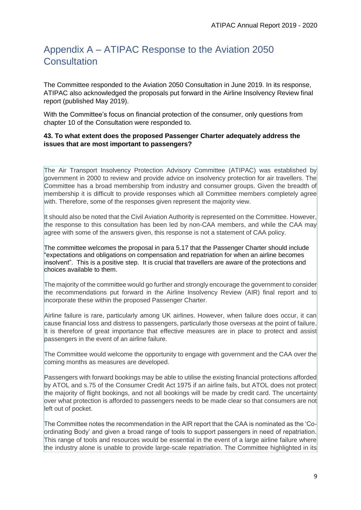# <span id="page-8-0"></span>Appendix A – ATIPAC Response to the Aviation 2050 **Consultation**

The Committee responded to the Aviation 2050 Consultation in June 2019. In its response, ATIPAC also acknowledged the proposals put forward in the Airline Insolvency Review final report (published May 2019).

With the Committee's focus on financial protection of the consumer, only questions from chapter 10 of the Consultation were responded to.

#### **43. To what extent does the proposed Passenger Charter adequately address the issues that are most important to passengers?**

The Air Transport Insolvency Protection Advisory Committee (ATIPAC) was established by government in 2000 to review and provide advice on insolvency protection for air travellers. The Committee has a broad membership from industry and consumer groups. Given the breadth of membership it is difficult to provide responses which all Committee members completely agree with. Therefore, some of the responses given represent the majority view.

It should also be noted that the Civil Aviation Authority is represented on the Committee. However, the response to this consultation has been led by non-CAA members, and while the CAA may agree with some of the answers given, this response is not a statement of CAA policy.

The committee welcomes the proposal in para 5.17 that the Passenger Charter should include "expectations and obligations on compensation and repatriation for when an airline becomes insolvent". This is a positive step.It is crucial that travellers are aware of the protections and choices available to them.

The majority of the committee would go further and strongly encourage the government to consider the recommendations put forward in the Airline Insolvency Review (AIR) final report and to incorporate these within the proposed Passenger Charter.

Airline failure is rare, particularly among UK airlines. However, when failure does occur, it can cause financial loss and distress to passengers, particularly those overseas at the point of failure. It is therefore of great importance that effective measures are in place to protect and assist passengers in the event of an airline failure.

The Committee would welcome the opportunity to engage with government and the CAA over the coming months as measures are developed.

Passengers with forward bookings may be able to utilise the existing financial protections afforded by ATOL and s.75 of the Consumer Credit Act 1975 if an airline fails, but ATOL does not protect the majority of flight bookings, and not all bookings will be made by credit card. The uncertainty over what protection is afforded to passengers needs to be made clear so that consumers are not left out of pocket.

The Committee notes the recommendation in the AIR report that the CAA is nominated as the 'Coordinating Body' and given a broad range of tools to support passengers in need of repatriation. This range of tools and resources would be essential in the event of a large airline failure where the industry alone is unable to provide large-scale repatriation. The Committee highlighted in its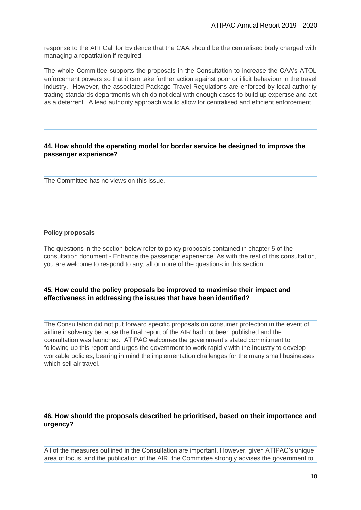response to the AIR Call for Evidence that the CAA should be the centralised body charged with managing a repatriation if required.

The whole Committee supports the proposals in the Consultation to increase the CAA's ATOL enforcement powers so that it can take further action against poor or illicit behaviour in the travel industry. However, the associated Package Travel Regulations are enforced by local authority trading standards departments which do not deal with enough cases to build up expertise and act as a deterrent. A lead authority approach would allow for centralised and efficient enforcement.

#### **44. How should the operating model for border service be designed to improve the passenger experience?**

The Committee has no views on this issue.

#### **Policy proposals**

The questions in the section below refer to policy proposals contained in chapter 5 of the consultation document - Enhance the passenger experience. As with the rest of this consultation, you are welcome to respond to any, all or none of the questions in this section.

#### **45. How could the policy proposals be improved to maximise their impact and effectiveness in addressing the issues that have been identified?**

The Consultation did not put forward specific proposals on consumer protection in the event of airline insolvency because the final report of the AIR had not been published and the consultation was launched. ATIPAC welcomes the government's stated commitment to following up this report and urges the government to work rapidly with the industry to develop workable policies, bearing in mind the implementation challenges for the many small businesses which sell air travel.

#### **46. How should the proposals described be prioritised, based on their importance and urgency?**

All of the measures outlined in the Consultation are important. However, given ATIPAC's unique area of focus, and the publication of the AIR, the Committee strongly advises the government to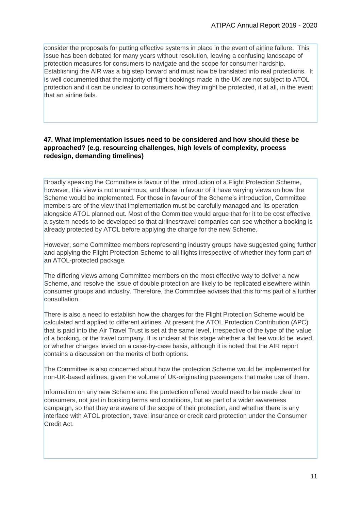consider the proposals for putting effective systems in place in the event of airline failure. This issue has been debated for many years without resolution, leaving a confusing landscape of protection measures for consumers to navigate and the scope for consumer hardship. Establishing the AIR was a big step forward and must now be translated into real protections. It is well documented that the majority of flight bookings made in the UK are not subject to ATOL protection and it can be unclear to consumers how they might be protected, if at all, in the event that an airline fails.

#### **47. What implementation issues need to be considered and how should these be approached? (e.g. resourcing challenges, high levels of complexity, process redesign, demanding timelines)**

Broadly speaking the Committee is favour of the introduction of a Flight Protection Scheme, however, this view is not unanimous, and those in favour of it have varying views on how the Scheme would be implemented. For those in favour of the Scheme's introduction, Committee members are of the view that implementation must be carefully managed and its operation alongside ATOL planned out. Most of the Committee would argue that for it to be cost effective, a system needs to be developed so that airlines/travel companies can see whether a booking is already protected by ATOL before applying the charge for the new Scheme.

However, some Committee members representing industry groups have suggested going further and applying the Flight Protection Scheme to all flights irrespective of whether they form part of an ATOL-protected package.

The differing views among Committee members on the most effective way to deliver a new Scheme, and resolve the issue of double protection are likely to be replicated elsewhere within consumer groups and industry. Therefore, the Committee advises that this forms part of a further consultation.

There is also a need to establish how the charges for the Flight Protection Scheme would be calculated and applied to different airlines. At present the ATOL Protection Contribution (APC) that is paid into the Air Travel Trust is set at the same level, irrespective of the type of the value of a booking, or the travel company. It is unclear at this stage whether a flat fee would be levied, or whether charges levied on a case-by-case basis, although it is noted that the AIR report contains a discussion on the merits of both options.

The Committee is also concerned about how the protection Scheme would be implemented for non-UK-based airlines, given the volume of UK-originating passengers that make use of them.

Information on any new Scheme and the protection offered would need to be made clear to consumers, not just in booking terms and conditions, but as part of a wider awareness campaign, so that they are aware of the scope of their protection, and whether there is any interface with ATOL protection, travel insurance or credit card protection under the Consumer Credit Act.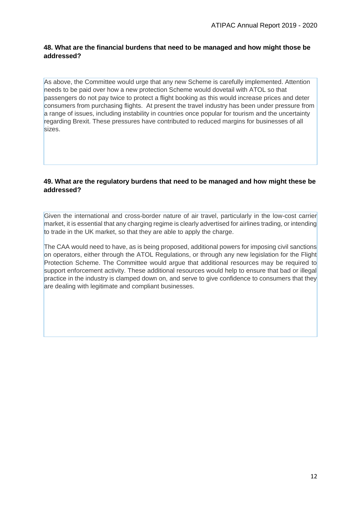#### **48. What are the financial burdens that need to be managed and how might those be addressed?**

As above, the Committee would urge that any new Scheme is carefully implemented. Attention needs to be paid over how a new protection Scheme would dovetail with ATOL so that passengers do not pay twice to protect a flight booking as this would increase prices and deter consumers from purchasing flights. At present the travel industry has been under pressure from a range of issues, including instability in countries once popular for tourism and the uncertainty regarding Brexit. These pressures have contributed to reduced margins for businesses of all sizes.

#### **49. What are the regulatory burdens that need to be managed and how might these be addressed?**

Given the international and cross-border nature of air travel, particularly in the low-cost carrier market, it is essential that any charging regime is clearly advertised for airlines trading, or intending to trade in the UK market, so that they are able to apply the charge.

The CAA would need to have, as is being proposed, additional powers for imposing civil sanctions on operators, either through the ATOL Regulations, or through any new legislation for the Flight Protection Scheme. The Committee would argue that additional resources may be required to support enforcement activity. These additional resources would help to ensure that bad or illegal practice in the industry is clamped down on, and serve to give confidence to consumers that they are dealing with legitimate and compliant businesses.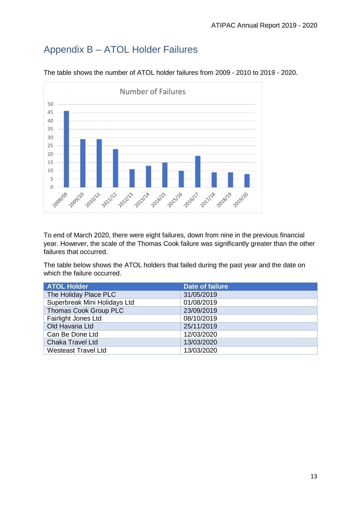# <span id="page-12-0"></span>Appendix B – ATOL Holder Failures



The table shows the number of ATOL holder failures from 2009 - 2010 to 2019 - 2020.

To end of March 2020, there were eight failures, down from nine in the previous financial year. However, the scale of the Thomas Cook failure was significantly greater than the other failures that occurred.

The table below shows the ATOL holders that failed during the past year and the date on which the failure occurred.

| <b>ATOL Holder</b>           | <b>Date of failure</b> |
|------------------------------|------------------------|
| The Holiday Place PLC        | 31/05/2019             |
| Superbreak Mini Holidays Ltd | 01/08/2019             |
| Thomas Cook Group PLC        | 23/09/2019             |
| Fairlight Jones Ltd          | 08/10/2019             |
| Old Havana Ltd               | 25/11/2019             |
| Can Be Done Ltd              | 12/03/2020             |
| Chaka Travel Ltd             | 13/03/2020             |
| <b>Westeast Travel Ltd</b>   | 13/03/2020             |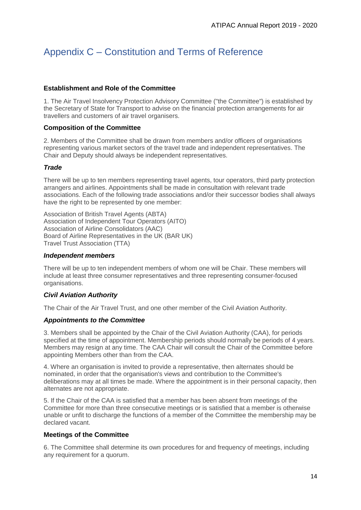# <span id="page-13-0"></span>Appendix C – Constitution and Terms of Reference

#### **Establishment and Role of the Committee**

1. The Air Travel Insolvency Protection Advisory Committee ("the Committee") is established by the Secretary of State for Transport to advise on the financial protection arrangements for air travellers and customers of air travel organisers.

#### **Composition of the Committee**

2. Members of the Committee shall be drawn from members and/or officers of organisations representing various market sectors of the travel trade and independent representatives. The Chair and Deputy should always be independent representatives.

#### *Trade*

There will be up to ten members representing travel agents, tour operators, third party protection arrangers and airlines. Appointments shall be made in consultation with relevant trade associations. Each of the following trade associations and/or their successor bodies shall always have the right to be represented by one member:

Association of British Travel Agents (ABTA) Association of Independent Tour Operators (AITO) Association of Airline Consolidators (AAC) Board of Airline Representatives in the UK (BAR UK) Travel Trust Association (TTA)

#### *Independent members*

There will be up to ten independent members of whom one will be Chair. These members will include at least three consumer representatives and three representing consumer-focused organisations.

#### *Civil Aviation Authority*

The Chair of the Air Travel Trust, and one other member of the Civil Aviation Authority.

#### *Appointments to the Committee*

3. Members shall be appointed by the Chair of the Civil Aviation Authority (CAA), for periods specified at the time of appointment. Membership periods should normally be periods of 4 years. Members may resign at any time. The CAA Chair will consult the Chair of the Committee before appointing Members other than from the CAA.

4. Where an organisation is invited to provide a representative, then alternates should be nominated, in order that the organisation's views and contribution to the Committee's deliberations may at all times be made. Where the appointment is in their personal capacity, then alternates are not appropriate.

5. If the Chair of the CAA is satisfied that a member has been absent from meetings of the Committee for more than three consecutive meetings or is satisfied that a member is otherwise unable or unfit to discharge the functions of a member of the Committee the membership may be declared vacant.

#### **Meetings of the Committee**

6. The Committee shall determine its own procedures for and frequency of meetings, including any requirement for a quorum.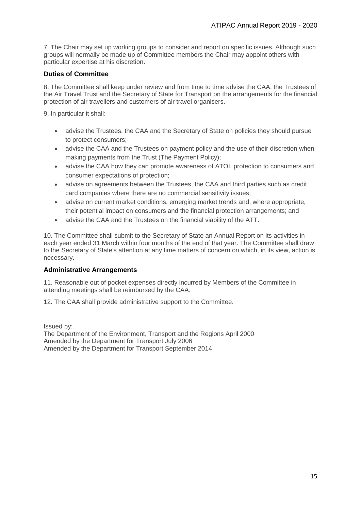7. The Chair may set up working groups to consider and report on specific issues. Although such groups will normally be made up of Committee members the Chair may appoint others with particular expertise at his discretion.

#### **Duties of Committee**

8. The Committee shall keep under review and from time to time advise the CAA, the Trustees of the Air Travel Trust and the Secretary of State for Transport on the arrangements for the financial protection of air travellers and customers of air travel organisers.

9. In particular it shall:

- advise the Trustees, the CAA and the Secretary of State on policies they should pursue to protect consumers;
- advise the CAA and the Trustees on payment policy and the use of their discretion when making payments from the Trust (The Payment Policy);
- advise the CAA how they can promote awareness of ATOL protection to consumers and consumer expectations of protection;
- advise on agreements between the Trustees, the CAA and third parties such as credit card companies where there are no commercial sensitivity issues;
- advise on current market conditions, emerging market trends and, where appropriate, their potential impact on consumers and the financial protection arrangements; and
- advise the CAA and the Trustees on the financial viability of the ATT.

10. The Committee shall submit to the Secretary of State an Annual Report on its activities in each year ended 31 March within four months of the end of that year. The Committee shall draw to the Secretary of State's attention at any time matters of concern on which, in its view, action is necessary.

#### **Administrative Arrangements**

11. Reasonable out of pocket expenses directly incurred by Members of the Committee in attending meetings shall be reimbursed by the CAA.

12. The CAA shall provide administrative support to the Committee.

Issued by: The Department of the Environment, Transport and the Regions April 2000 Amended by the Department for Transport July 2006 Amended by the Department for Transport September 2014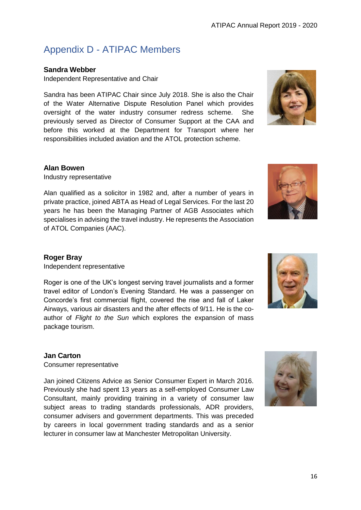# <span id="page-15-0"></span>Appendix D - ATIPAC Members

### **Sandra Webber**

Independent Representative and Chair

Sandra has been ATIPAC Chair since July 2018. She is also the Chair of the Water Alternative Dispute Resolution Panel which provides oversight of the water industry consumer redress scheme. She previously served as Director of Consumer Support at the CAA and before this worked at the Department for Transport where her responsibilities included aviation and the ATOL protection scheme.



#### **Alan Bowen**

Industry representative

Alan qualified as a solicitor in 1982 and, after a number of years in private practice, joined ABTA as Head of Legal Services. For the last 20 years he has been the Managing Partner of AGB Associates which specialises in advising the travel industry. He represents the Association of ATOL Companies (AAC).



### **Roger Bray**

Independent representative

Roger is one of the UK's longest serving travel journalists and a former travel editor of London's Evening Standard. He was a passenger on Concorde's first commercial flight, covered the rise and fall of Laker Airways, various air disasters and the after effects of 9/11. He is the coauthor of *Flight to the Sun* which explores the expansion of mass package tourism.

### **Jan Carton**

Consumer representative

Jan joined Citizens Advice as Senior Consumer Expert in March 2016. Previously she had spent 13 years as a self-employed Consumer Law Consultant, mainly providing training in a variety of consumer law subject areas to trading standards professionals, ADR providers, consumer advisers and government departments. This was preceded by careers in local government trading standards and as a senior lecturer in consumer law at Manchester Metropolitan University.



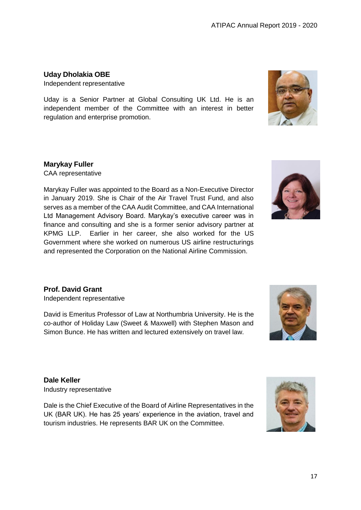## **Uday Dholakia OBE**

Independent representative

Uday is a Senior Partner at Global Consulting UK Ltd. He is an independent member of the Committee with an interest in better regulation and enterprise promotion.

### **Marykay Fuller**

CAA representative

Marykay Fuller was appointed to the Board as a Non-Executive Director in January 2019. She is Chair of the Air Travel Trust Fund, and also serves as a member of the CAA Audit Committee, and CAA International Ltd Management Advisory Board. Marykay's executive career was in finance and consulting and she is a former senior advisory partner at KPMG LLP. Earlier in her career, she also worked for the US Government where she worked on numerous US airline restructurings and represented the Corporation on the National Airline Commission.



### **Prof. David Grant**

Independent representative

David is Emeritus Professor of Law at Northumbria University. He is the co-author of Holiday Law (Sweet & Maxwell) with Stephen Mason and Simon Bunce. He has written and lectured extensively on travel law.



**Dale Keller** Industry representative

Dale is the Chief Executive of the Board of Airline Representatives in the UK (BAR UK). He has 25 years' experience in the aviation, travel and tourism industries. He represents BAR UK on the Committee.

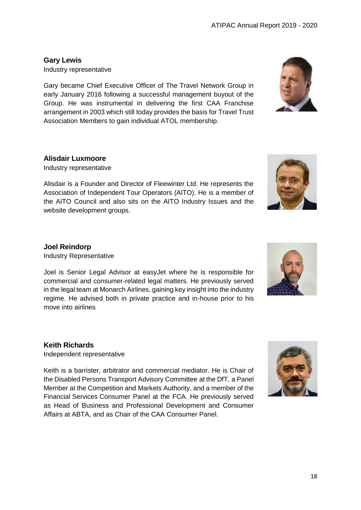**Gary Lewis** Industry representative

Gary became Chief Executive Officer of The Travel Network Group in early January 2016 following a successful management buyout of the Group. He was instrumental in delivering the first CAA Franchise arrangement in 2003 which still today provides the basis for Travel Trust Association Members to gain individual ATOL membership.

### **Alisdair Luxmoore**

Industry representative

Alisdair is a Founder and Director of Fleewinter Ltd. He represents the Association of Independent Tour Operators (AITO). He is a member of the AITO Council and also sits on the AITO Industry Issues and the website development groups.

#### **Joel Reindorp**

Industry Representative

Joel is Senior Legal Advisor at easyJet where he is responsible for commercial and consumer-related legal matters. He previously served in the legal team at Monarch Airlines, gaining key insight into the industry regime. He advised both in private practice and in-house prior to his move into airlines

### **Keith Richards**

Independent representative

Keith is a barrister, arbitrator and commercial mediator. He is Chair of the Disabled Persons Transport Advisory Committee at the DfT, a Panel Member at the Competition and Markets Authority, and a member of the Financial Services Consumer Panel at the FCA. He previously served as Head of Business and Professional Development and Consumer Affairs at ABTA, and as Chair of the CAA Consumer Panel.







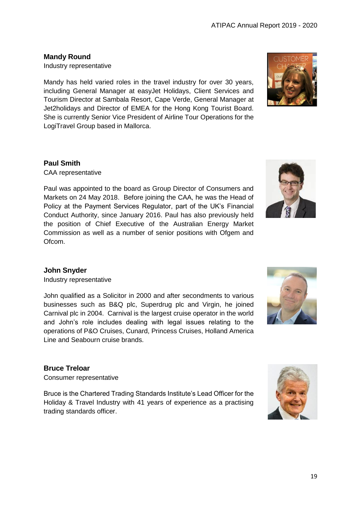ATIPAC Annual Report 2019 - 2020

#### **Mandy Round**

Industry representative

Mandy has held varied roles in the travel industry for over 30 years, including General Manager at easyJet Holidays, Client Services and Tourism Director at Sambala Resort, Cape Verde, General Manager at Jet2holidays and Director of EMEA for the Hong Kong Tourist Board. She is currently Senior Vice President of Airline Tour Operations for the LogiTravel Group based in Mallorca.

#### **Paul Smith**

CAA representative

Paul was appointed to the board as Group Director of Consumers and Markets on 24 May 2018. Before joining the CAA, he was the Head of Policy at the Payment Services Regulator, part of the UK's Financial Conduct Authority, since January 2016. Paul has also previously held the position of Chief Executive of the Australian Energy Market Commission as well as a number of senior positions with Ofgem and Ofcom.



#### **John Snyder**

Industry representative

John qualified as a Solicitor in 2000 and after secondments to various businesses such as B&Q plc, Superdrug plc and Virgin, he joined Carnival plc in 2004. Carnival is the largest cruise operator in the world and John's role includes dealing with legal issues relating to the operations of P&O Cruises, Cunard, Princess Cruises, Holland America Line and Seabourn cruise brands.

### **Bruce Treloar**

Consumer representative

Bruce is the Chartered Trading Standards Institute's Lead Officer for the Holiday & Travel Industry with 41 years of experience as a practising trading standards officer.